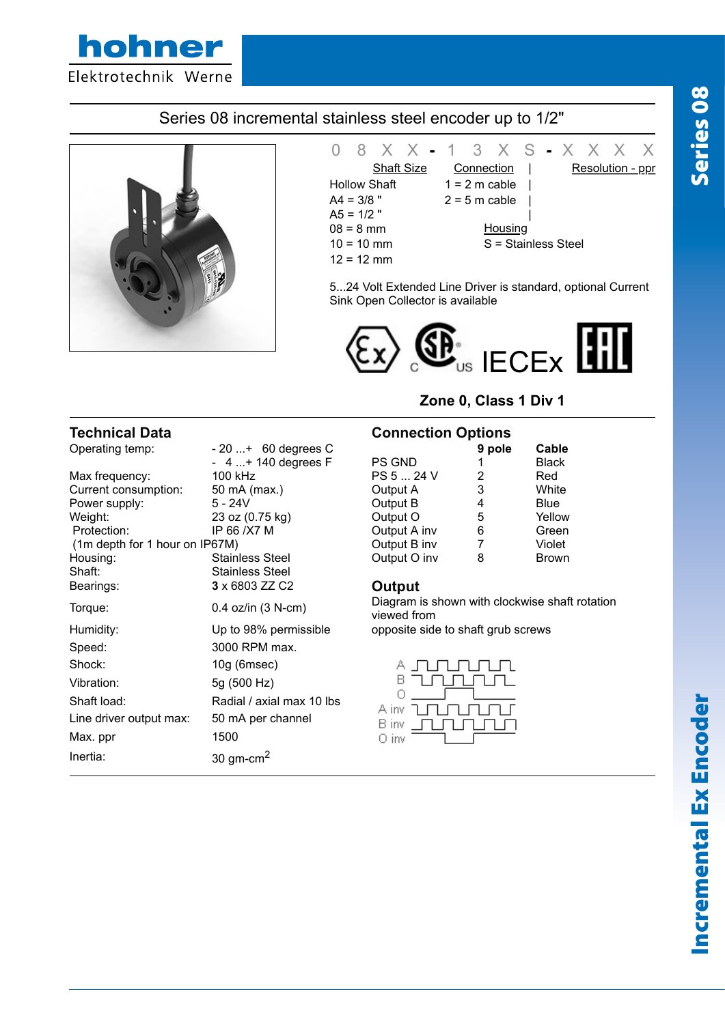

# Series 08 incremental stainless steel encoder up to 1/2"



0 8 X X 1 3 X S X X X X Shaft Size Connection | Resolution - ppr Hollow Shaft  $1 = 2$  m cable  $A4 = 3/8$  "  $2 = 5$  m cable  $A5 = 1/2$  "<br>  $08 = 8$  mm  $\frac{H \text{ousing}}{H}$  $08 = 8$  mm  $10 = 10$  mm  $S =$  Stainless Steel  $12 = 12$  mm

5...24 Volt Extended Line Driver is standard, optional Current Sink Open Collector is available



**Zone 0, Class 1 Div 1**

| Operating temp:                | $-20$ + 60 degrees C      |                                                     | 9 pole | Cable  |
|--------------------------------|---------------------------|-----------------------------------------------------|--------|--------|
|                                | $-4+140$ degrees F        | PS GND                                              |        | Black  |
| Max frequency:                 | 100 kHz                   | PS 5  24 V                                          | 2      | Red    |
| Current consumption:           | 50 mA (max.)              | Output A                                            | 3      | White  |
| Power supply:                  | $5 - 24V$                 | Output B                                            | 4      | Blue   |
| Weight:                        | 23 oz (0.75 kg)           | Output O                                            | 5      | Yellow |
| Protection:                    | IP 66 / X7 M              | Output A inv                                        | 6      | Green  |
| (1m depth for 1 hour on IP67M) |                           | Output B inv                                        | 7      | Violet |
| Housing:                       | <b>Stainless Steel</b>    | Output O inv                                        | 8      | Brown  |
| Shaft:                         | <b>Stainless Steel</b>    |                                                     |        |        |
| Bearings:                      | 3 x 6803 ZZ C2            | Output                                              |        |        |
| Torque:                        | 0.4 oz/in (3 N-cm)        | Diagram is shown with clockwise shat<br>viewed from |        |        |
| Humidity:                      | Up to 98% permissible     | opposite side to shaft grub screws                  |        |        |
| Speed:                         | 3000 RPM max.             |                                                     |        |        |
| Shock:                         | $10g$ (6msec)             | А                                                   |        |        |
| Vibration:                     | 5g (500 Hz)               | в                                                   |        |        |
| Shaft load:                    | Radial / axial max 10 lbs | A inv                                               |        |        |
| Line driver output max:        | 50 mA per channel         | B inv                                               |        |        |
| Max. ppr                       | 1500                      | 0 inv                                               |        |        |
| Inertia:                       | 30 gm-cm <sup>2</sup>     |                                                     |        |        |

### **Technical Data Connection Options**

| $-20+ 60$ degrees C    |               | 9 pole | Cable        |
|------------------------|---------------|--------|--------------|
| - 4  + 140 degrees F   | <b>PS GND</b> |        | <b>Black</b> |
| 100 kHz                | PS 5  24 V    |        | Red          |
| 50 mA (max.)           | Output A      | 3      | White        |
| 5 - 24V                | Output B      | 4      | <b>Blue</b>  |
| 23 oz (0.75 kg)        | Output O      | 5      | Yellow       |
| IP 66 / X7 M           | Output A inv  | 6      | Green        |
| 67M)                   | Output B inv  |        | Violet       |
| <b>Stainless Steel</b> | Output O inv  | 8      | <b>Brown</b> |
|                        |               |        |              |

### **Output**

Diagram is shown with clockwise shaft rotation viewed from

|       | 1 1 1 1 1 1 1                                                                                            |
|-------|----------------------------------------------------------------------------------------------------------|
| н     | $\begin{array}{c} \begin{array}{c} \text{array}\\ \text{array}\\ \text{array}\\ \end{array} \end{array}$ |
|       |                                                                                                          |
| A inv | LAJALALT                                                                                                 |
| B inv | $\Box$                                                                                                   |
| 0 inv |                                                                                                          |

# Incremental Ex Encoder Incremental Ex Encoder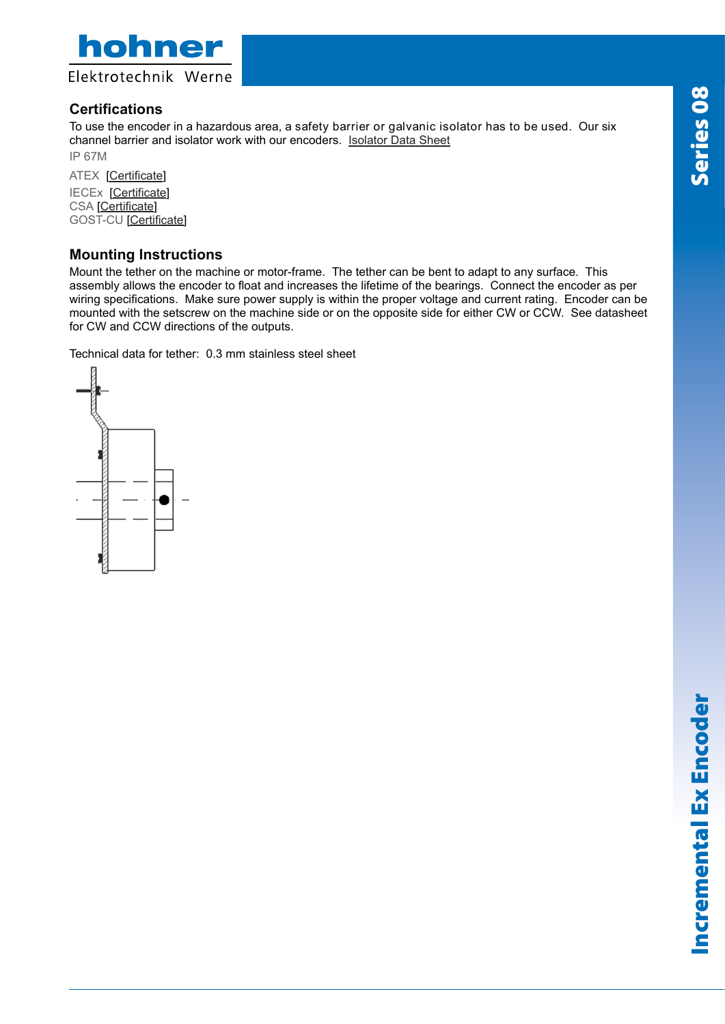



## **Certifications**

To use the encoder in a hazardous area, a safety barrier or galvanic isolator has to be used. Our six channel barrier and isolator work with our encoders. Isolator Data Sheet

IP 67M

ATEX [Certificate] IECEx [Certificate] CSA [Certificate] GOST-CU [Certificate]

### **Mounting Instructions**

Mount the tether on the machine or motor-frame. The tether can be bent to adapt to any surface. This assembly allows the encoder to float and increases the lifetime of the bearings. Connect the encoder as per wiring specifications. Make sure power supply is within the proper voltage and current rating. Encoder can be mounted with the setscrew on the machine side or on the opposite side for either CW or CCW. See datasheet for CW and CCW directions of the outputs.

Technical data for tether: 0.3 mm stainless steel sheet